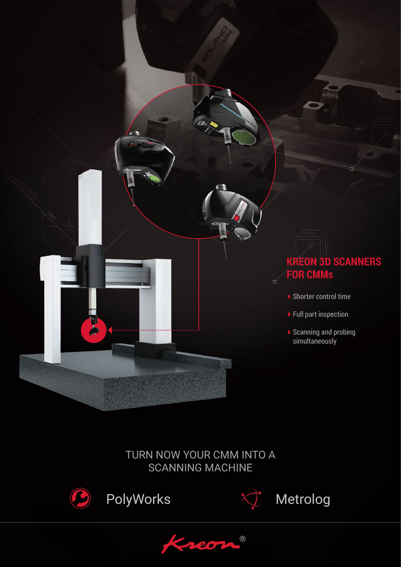

## TURN NOW YOUR CMM INTO A SCANNING MACHINE



PolyWorks  $\overrightarrow{C}$  Metrolog



®  $2207$